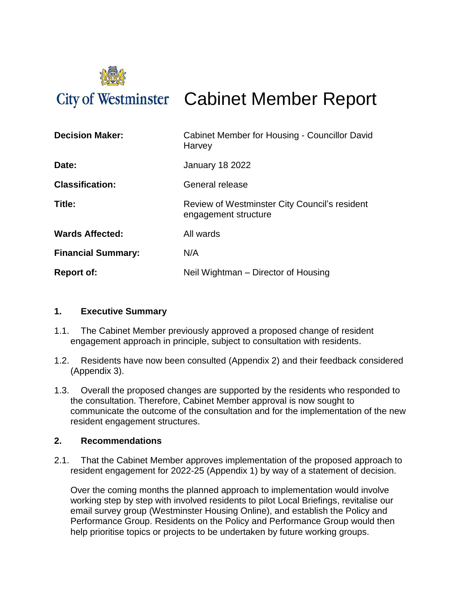

# City of Westminster Cabinet Member Report

| <b>Decision Maker:</b>    | Cabinet Member for Housing - Councillor David<br>Harvey               |
|---------------------------|-----------------------------------------------------------------------|
| Date:                     | <b>January 18 2022</b>                                                |
| <b>Classification:</b>    | General release                                                       |
| Title:                    | Review of Westminster City Council's resident<br>engagement structure |
| <b>Wards Affected:</b>    | All wards                                                             |
| <b>Financial Summary:</b> | N/A                                                                   |
| <b>Report of:</b>         | Neil Wightman – Director of Housing                                   |

### **1. Executive Summary**

- 1.1. The Cabinet Member previously approved a proposed change of resident engagement approach in principle, subject to consultation with residents.
- 1.2. Residents have now been consulted (Appendix 2) and their feedback considered (Appendix 3).
- 1.3. Overall the proposed changes are supported by the residents who responded to the consultation. Therefore, Cabinet Member approval is now sought to communicate the outcome of the consultation and for the implementation of the new resident engagement structures.

### **2. Recommendations**

2.1. That the Cabinet Member approves implementation of the proposed approach to resident engagement for 2022-25 (Appendix 1) by way of a statement of decision.

Over the coming months the planned approach to implementation would involve working step by step with involved residents to pilot Local Briefings, revitalise our email survey group (Westminster Housing Online), and establish the Policy and Performance Group. Residents on the Policy and Performance Group would then help prioritise topics or projects to be undertaken by future working groups.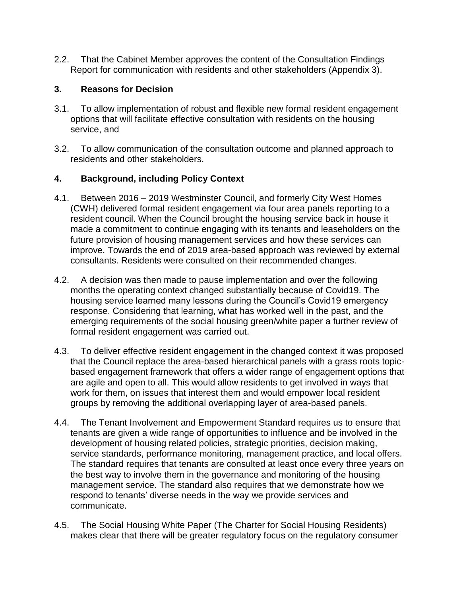2.2. That the Cabinet Member approves the content of the Consultation Findings Report for communication with residents and other stakeholders (Appendix 3).

### **3. Reasons for Decision**

- 3.1. To allow implementation of robust and flexible new formal resident engagement options that will facilitate effective consultation with residents on the housing service, and
- 3.2. To allow communication of the consultation outcome and planned approach to residents and other stakeholders.

### **4. Background, including Policy Context**

- 4.1. Between 2016 2019 Westminster Council, and formerly City West Homes (CWH) delivered formal resident engagement via four area panels reporting to a resident council. When the Council brought the housing service back in house it made a commitment to continue engaging with its tenants and leaseholders on the future provision of housing management services and how these services can improve. Towards the end of 2019 area-based approach was reviewed by external consultants. Residents were consulted on their recommended changes.
- 4.2. A decision was then made to pause implementation and over the following months the operating context changed substantially because of Covid19. The housing service learned many lessons during the Council's Covid19 emergency response. Considering that learning, what has worked well in the past, and the emerging requirements of the social housing green/white paper a further review of formal resident engagement was carried out.
- 4.3. To deliver effective resident engagement in the changed context it was proposed that the Council replace the area-based hierarchical panels with a grass roots topicbased engagement framework that offers a wider range of engagement options that are agile and open to all. This would allow residents to get involved in ways that work for them, on issues that interest them and would empower local resident groups by removing the additional overlapping layer of area-based panels.
- 4.4. The Tenant Involvement and Empowerment Standard requires us to ensure that tenants are given a wide range of opportunities to influence and be involved in the development of housing related policies, strategic priorities, decision making, service standards, performance monitoring, management practice, and local offers. The standard requires that tenants are consulted at least once every three years on the best way to involve them in the governance and monitoring of the housing management service. The standard also requires that we demonstrate how we respond to tenants' diverse needs in the way we provide services and communicate.
- 4.5. The Social Housing White Paper (The Charter for Social Housing Residents) makes clear that there will be greater regulatory focus on the regulatory consumer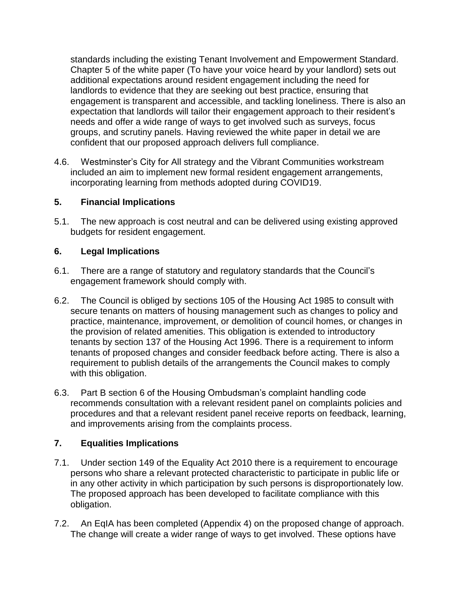standards including the existing Tenant Involvement and Empowerment Standard. Chapter 5 of the white paper (To have your voice heard by your landlord) sets out additional expectations around resident engagement including the need for landlords to evidence that they are seeking out best practice, ensuring that engagement is transparent and accessible, and tackling loneliness. There is also an expectation that landlords will tailor their engagement approach to their resident's needs and offer a wide range of ways to get involved such as surveys, focus groups, and scrutiny panels. Having reviewed the white paper in detail we are confident that our proposed approach delivers full compliance.

4.6. Westminster's City for All strategy and the Vibrant Communities workstream included an aim to implement new formal resident engagement arrangements, incorporating learning from methods adopted during COVID19.

# **5. Financial Implications**

5.1. The new approach is cost neutral and can be delivered using existing approved budgets for resident engagement.

# **6. Legal Implications**

- 6.1. There are a range of statutory and regulatory standards that the Council's engagement framework should comply with.
- 6.2. The Council is obliged by sections 105 of the Housing Act 1985 to consult with secure tenants on matters of housing management such as changes to policy and practice, maintenance, improvement, or demolition of council homes, or changes in the provision of related amenities. This obligation is extended to introductory tenants by section 137 of the Housing Act 1996. There is a requirement to inform tenants of proposed changes and consider feedback before acting. There is also a requirement to publish details of the arrangements the Council makes to comply with this obligation.
- 6.3. Part B section 6 of the Housing Ombudsman's complaint handling code recommends consultation with a relevant resident panel on complaints policies and procedures and that a relevant resident panel receive reports on feedback, learning, and improvements arising from the complaints process.

# **7. Equalities Implications**

- 7.1. Under section 149 of the Equality Act 2010 there is a requirement to encourage persons who share a relevant protected characteristic to participate in public life or in any other activity in which participation by such persons is disproportionately low. The proposed approach has been developed to facilitate compliance with this obligation.
- 7.2. An EqIA has been completed (Appendix 4) on the proposed change of approach. The change will create a wider range of ways to get involved. These options have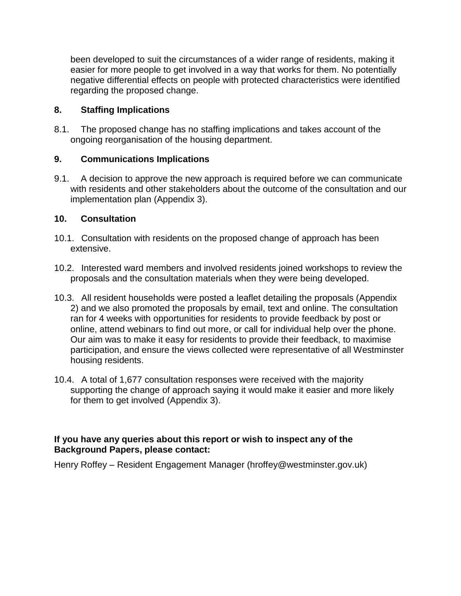been developed to suit the circumstances of a wider range of residents, making it easier for more people to get involved in a way that works for them. No potentially negative differential effects on people with protected characteristics were identified regarding the proposed change.

### **8. Staffing Implications**

8.1. The proposed change has no staffing implications and takes account of the ongoing reorganisation of the housing department.

### **9. Communications Implications**

9.1. A decision to approve the new approach is required before we can communicate with residents and other stakeholders about the outcome of the consultation and our implementation plan (Appendix 3).

### **10. Consultation**

- 10.1. Consultation with residents on the proposed change of approach has been extensive.
- 10.2. Interested ward members and involved residents joined workshops to review the proposals and the consultation materials when they were being developed.
- 10.3. All resident households were posted a leaflet detailing the proposals (Appendix 2) and we also promoted the proposals by email, text and online. The consultation ran for 4 weeks with opportunities for residents to provide feedback by post or online, attend webinars to find out more, or call for individual help over the phone. Our aim was to make it easy for residents to provide their feedback, to maximise participation, and ensure the views collected were representative of all Westminster housing residents.
- 10.4. A total of 1,677 consultation responses were received with the majority supporting the change of approach saying it would make it easier and more likely for them to get involved (Appendix 3).

### **If you have any queries about this report or wish to inspect any of the Background Papers, please contact:**

Henry Roffey – Resident Engagement Manager (hroffey@westminster.gov.uk)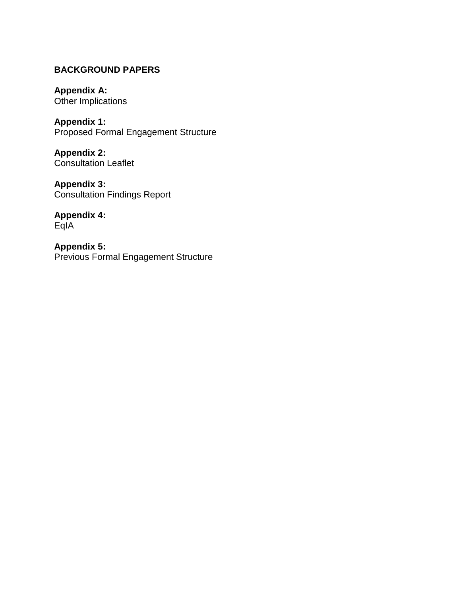# **BACKGROUND PAPERS**

**Appendix A:**  Other Implications

**Appendix 1:** Proposed Formal Engagement Structure

**Appendix 2:** Consultation Leaflet

**Appendix 3:** Consultation Findings Report

**Appendix 4:** EqIA

**Appendix 5:** Previous Formal Engagement Structure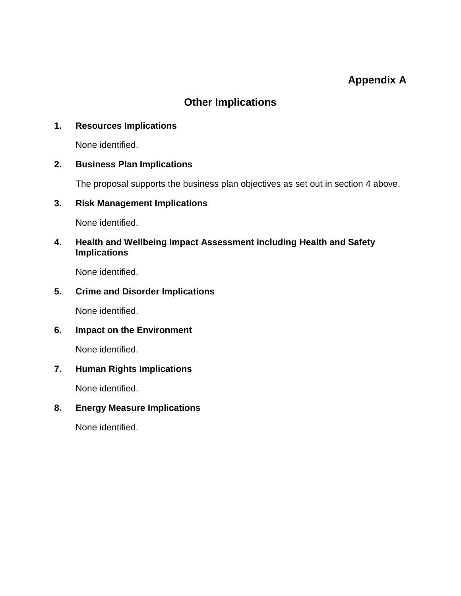# **Appendix A**

# **Other Implications**

### **1. Resources Implications**

None identified.

### **2. Business Plan Implications**

The proposal supports the business plan objectives as set out in section 4 above.

### **3. Risk Management Implications**

None identified.

# **4. Health and Wellbeing Impact Assessment including Health and Safety Implications**

None identified.

# **5. Crime and Disorder Implications**

None identified.

# **6. Impact on the Environment**

None identified.

# **7. Human Rights Implications**

None identified.

# **8. Energy Measure Implications**

None identified.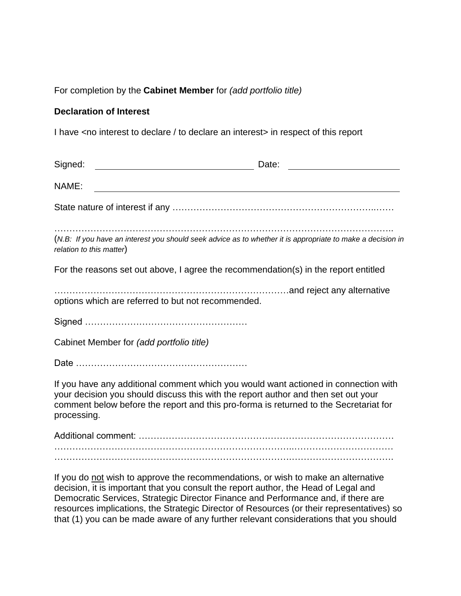### For completion by the **Cabinet Member** for *(add portfolio title)*

### **Declaration of Interest**

I have <no interest to declare / to declare an interest> in respect of this report

| Signed:<br><u> 1989 - Johann Barn, mars and de Branch Barn, mars and de Branch Barn, mars and de Branch Barn, mars and de Br</u>                                                                                                                                                  | Date:<br>the control of the control of the control of the control of the control of the control of the control of the control of the control of the control of the control of the control of the control of the control of the control |
|-----------------------------------------------------------------------------------------------------------------------------------------------------------------------------------------------------------------------------------------------------------------------------------|----------------------------------------------------------------------------------------------------------------------------------------------------------------------------------------------------------------------------------------|
| NAME:                                                                                                                                                                                                                                                                             |                                                                                                                                                                                                                                        |
|                                                                                                                                                                                                                                                                                   |                                                                                                                                                                                                                                        |
| (N.B: If you have an interest you should seek advice as to whether it is appropriate to make a decision in<br>relation to this matter)                                                                                                                                            |                                                                                                                                                                                                                                        |
| For the reasons set out above, I agree the recommendation(s) in the report entitled                                                                                                                                                                                               |                                                                                                                                                                                                                                        |
| options which are referred to but not recommended.                                                                                                                                                                                                                                |                                                                                                                                                                                                                                        |
|                                                                                                                                                                                                                                                                                   |                                                                                                                                                                                                                                        |
| Cabinet Member for (add portfolio title)                                                                                                                                                                                                                                          |                                                                                                                                                                                                                                        |
|                                                                                                                                                                                                                                                                                   |                                                                                                                                                                                                                                        |
| If you have any additional comment which you would want actioned in connection with<br>your decision you should discuss this with the report author and then set out your<br>comment below before the report and this pro-forma is returned to the Secretariat for<br>processing. |                                                                                                                                                                                                                                        |
|                                                                                                                                                                                                                                                                                   |                                                                                                                                                                                                                                        |
|                                                                                                                                                                                                                                                                                   |                                                                                                                                                                                                                                        |
|                                                                                                                                                                                                                                                                                   |                                                                                                                                                                                                                                        |

If you do not wish to approve the recommendations, or wish to make an alternative decision, it is important that you consult the report author, the Head of Legal and Democratic Services, Strategic Director Finance and Performance and, if there are resources implications, the Strategic Director of Resources (or their representatives) so that (1) you can be made aware of any further relevant considerations that you should